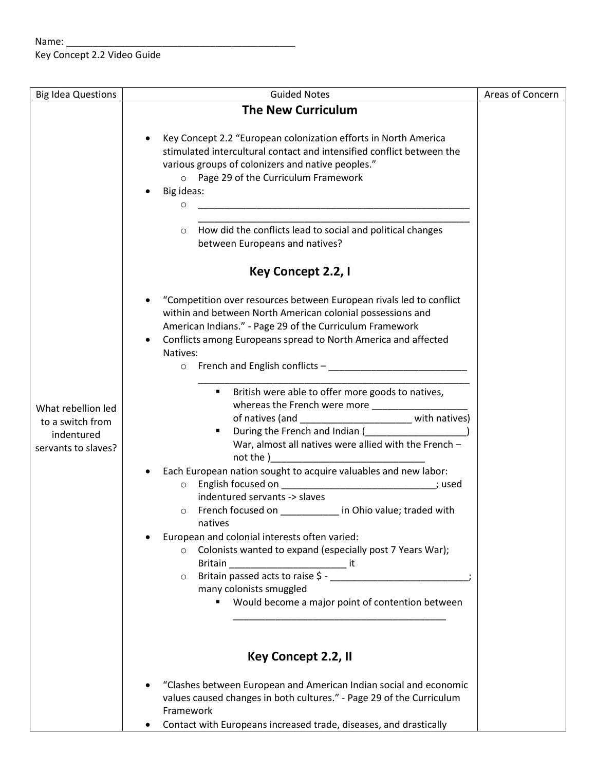## Name: \_\_\_\_\_\_\_\_\_\_\_\_\_\_\_\_\_\_\_\_\_\_\_\_\_\_\_\_\_\_\_\_\_\_\_\_\_\_\_\_\_\_\_ Key Concept 2.2 Video Guide

| <b>Big Idea Questions</b>                                                   | <b>Guided Notes</b>                                                                                                                                                                                                                                                                                                                                                                                                | Areas of Concern |
|-----------------------------------------------------------------------------|--------------------------------------------------------------------------------------------------------------------------------------------------------------------------------------------------------------------------------------------------------------------------------------------------------------------------------------------------------------------------------------------------------------------|------------------|
|                                                                             | <b>The New Curriculum</b>                                                                                                                                                                                                                                                                                                                                                                                          |                  |
| What rebellion led<br>to a switch from<br>indentured<br>servants to slaves? | Key Concept 2.2 "European colonization efforts in North America<br>stimulated intercultural contact and intensified conflict between the<br>various groups of colonizers and native peoples."<br>o Page 29 of the Curriculum Framework<br>Big ideas:<br><u> 1989 - Johann John Stone, markin film yn y brenin y brenin y brenin y brenin y brenin y brenin y brenin y br</u><br>O                                  |                  |
|                                                                             | How did the conflicts lead to social and political changes<br>$\circ$<br>between Europeans and natives?                                                                                                                                                                                                                                                                                                            |                  |
|                                                                             | Key Concept 2.2, I                                                                                                                                                                                                                                                                                                                                                                                                 |                  |
|                                                                             | "Competition over resources between European rivals led to conflict<br>within and between North American colonial possessions and<br>American Indians." - Page 29 of the Curriculum Framework<br>Conflicts among Europeans spread to North America and affected<br>Natives:<br>French and English conflicts $-\underline{\hspace{2cm}}$<br>$\circ$                                                                 |                  |
|                                                                             | " British were able to offer more goods to natives,<br>of natives (and ______________________________ with natives)<br>٠<br>War, almost all natives were allied with the French -<br>not the ) and the state of the state of the state of the state of the state of the state of the state of the state of the state of the state of the state of the state of the state of the state of the state of the state of |                  |
|                                                                             | Each European nation sought to acquire valuables and new labor:<br>English focused on ________________________________; used<br>$\circ$<br>indentured servants -> slaves<br>French focused on ___________ in Ohio value; traded with<br>$\circ$<br>natives                                                                                                                                                         |                  |
|                                                                             | European and colonial interests often varied:<br>o Colonists wanted to expand (especially post 7 Years War);<br>Britain _________________________________ it<br>Britain passed acts to raise \$ -<br>$\circ$<br>many colonists smuggled<br>" Would become a major point of contention between                                                                                                                      |                  |
|                                                                             | Key Concept 2.2, II                                                                                                                                                                                                                                                                                                                                                                                                |                  |
|                                                                             | "Clashes between European and American Indian social and economic<br>values caused changes in both cultures." - Page 29 of the Curriculum<br>Framework<br>Contact with Europeans increased trade, diseases, and drastically                                                                                                                                                                                        |                  |